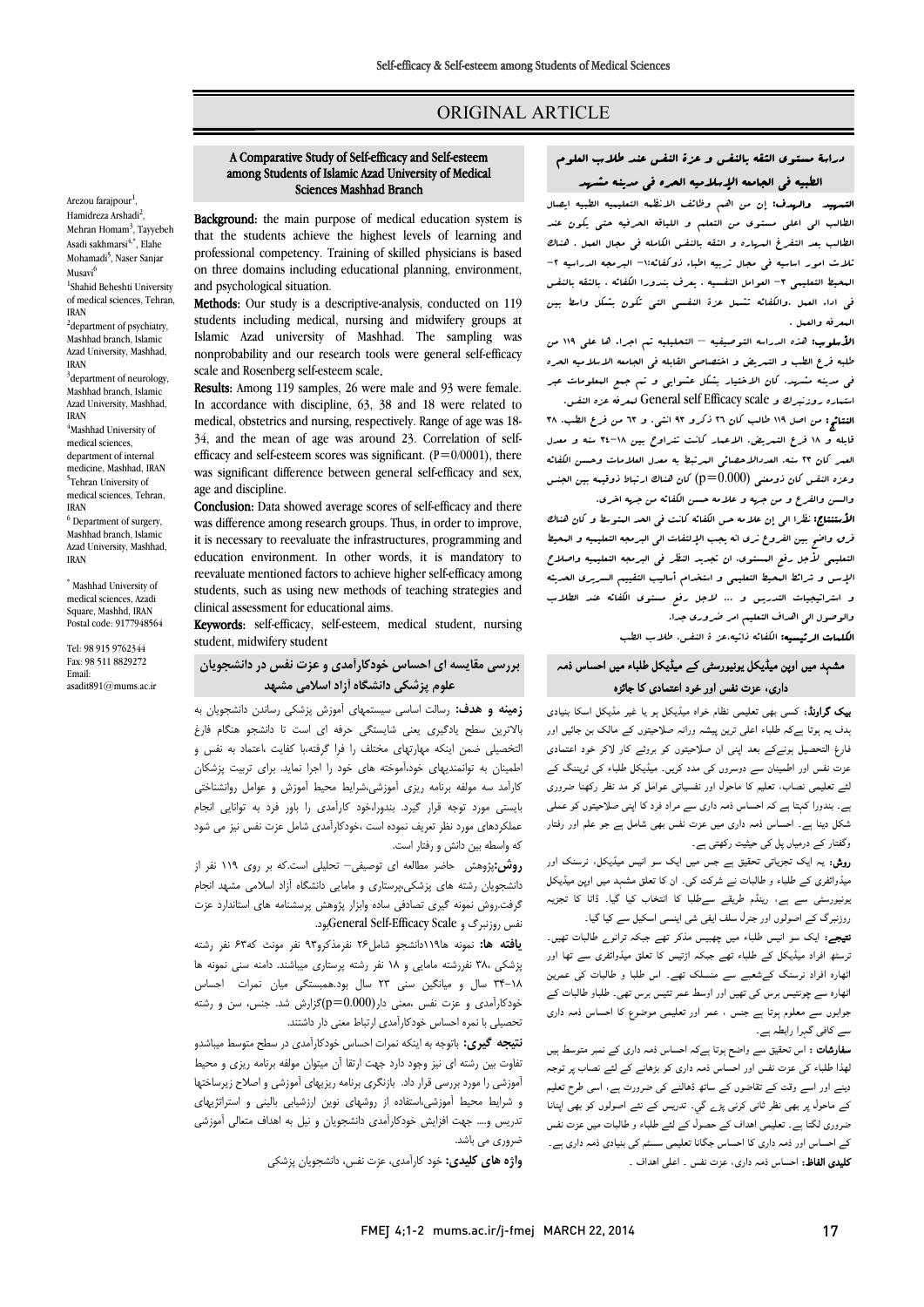# ORIGINAL ARTICLE

# A Comparative Study of Self-efficacy and Self-esteem among Students of Islamic Azad University of Medical Sciences Mashhad Branch

Ī 

Background: the main purpose of medical education system is that the students achieve the highest levels of learning and professional competency. Training of skilled physicians is based on three domains including educational planning, environment,<br>and psychological situation and psychological situation.

Methods: Our study is a descriptive-analysis, conducted on 119 students including medical, nursing and midwifery groups at nonprobability and our research tools were general self-efficacy Islamic Azad university of Mashhad. The sampling was scale and Rosenberg self-esteem scale.

 Results: Among 119 samples, 26 were male and 93 were female. medical, obstetries and nursing, respectively. Range of age was 18- 34, and the mean of age was around 23. Correlation of selfefficacy and self-esteem scores was significant.  $(P=0/0001)$ , there was significant difference between general self-efficacy and sex,<br>age and discipline In accordance with discipline, 63, 38 and 18 were related to age and discipline.

Conclusion: Data showed average scores of self-efficacy and there was difference among research groups. Thus, in order to improve, education environment. In other words, it is mandatory to reevaluate mentioned factors to achieve higher self-efficacy among students, such as using new methods of teaching strategies and it is necessary to reevaluate the infrastructures, programming and clinical assessment for educational aims.

**Keywords:** self-efficacy, self-esteem, medical student, nursing student, midwifery student

# **بررسی مقایسه اي احساس خودکارآمدي و عزت نفس در دانشجویان علوم پزشکی دانشگاه آزاد اسلامی مشهد**

 **زمینه و هدف:** رسالت اساسی سیستمهاي آموزش پزشکی رساندن دانشجویان به بالاترین سطح یادگیري یعنی شایستگی حرفه اي است تا دانشجو هنگام فارغ التخصیلی ضمن اینکه مهارتهاي مختلف را فرا گرفته،با کفایت ،اعتماد به نفس و اطمینان به توانمندیهاي خود،آموخته هاي خود را اجرا نماید. براي تربیت پزشکان بایستی مورد توجه قرار گیرد. بندورا،خود کارآمدي را باور فرد به توانایی انجام عملکردهاي مورد نظر تعریف نموده است ،خودکارآمدي شامل عزت نفس نیز می شود که واسطه بین دانش و رفتار است. کارآمد سه مولفه برنامه ریزي آموزشی،شرایط محیط آموزش و عوامل روانشناختی

 **روش:**پژوهش حاضر مطالعه اي توصیفی– تحلیلی است.که بر روي 119 نفر از دانشجویان رشته هاي پزشکی،پرستاري و مامایی دانشگاه آزاد اسلامی مشهد انجام گرفت.روش نمونه گیري تصادفی ساده وابزار پژوهش پرسشنامه هاي استاندارد عزت نفس روزنبرگ و Scale Efficacy-Self Generalبود.

 **یافته ها:** نمونه ها119دانشجو شامل26 نفرمذکرو93 نفر مونث که63 نفر رشته پزشکی 38، نفررشته مامایی و 18 نفر رشته پرستاري میباشند. دامنه سنی نمونه ها .<br>٦٨-٣۴ سال و میانگین سنی ٢٣ سال بود.همبستگی میان نمرات احساس خودکارآمدي و عزت نفس ،معنی دار(0.000=p(گزارش شد. جنس، سن و رشته تحصیلی با نمره احساس خودکارآمدي ارتباط معنی دار داشتند.

 **نتیجه گیري:** باتوجه به اینکه نمرات احساس خودکارآمدي در سطح متوسط میباشدو تفاوت بین رشته اي نیز وجود دارد جهت ارتقا آن میتوان مولفه برنامه ریزي و محیط <sub>ا</sub>سورسی را سورد بررسی عزار داد. آبارتعری بردسه ریزیهای اسورسی و است *ک ریز*ساخها<br>و شرایط محیط آموزشی،استفاده از روشهای نوین ارزشیابی بالینی و استراتژیهای تدریس و.... جهت افزایش خودکارآمدي دانشجویان و نیل به اهداف متعالی آموزشی آموزشی را مورد بررسی قرار داد. بازنگري برنامه ریزیهاي آموزشی و اصلاح زیرساختها ضروري می باشد.

**واژه هاي کلیدي:** خود کارآمدي، عزت نفس، دانشجویان پزشکی

# دراسۀ مستوي الثقه بالنفس و عزة النفس عند طلاب العلوم الطبیه فی الجامعه الإسلامیه الحره فی مدینه مشهد

Ī ֦

**التسهید والهدف:** إن من اهم وظائف الانظمه التعلیمیه الطبیه ایصال<br>مالیه الطالب بعی التفی المستوف عن التفتیح و التوبات العمل بعد التفی بعوث المستوف<br>الطالب بعد التفرغ العرباره و الثقه بالنفس الکامله فی مجال العمل . هناك ثلاث امور اساسیه فی مجال تربیه اطباء ذوکفائه-1: البرمجه الدراسیه -2 المحیط التعلیمی -3 العوامل النفسیه . یعرف بندورا الکفائه ، بالثقه بالنفس فی اداء العمل .والکفائه تشمل عزة النفسی التی تکون بشکل واسط بین الطالب الی اعلی مستوي من التعلم و اللیاقه الحرفیه حتی یکون عند المعرفه والعمل .

 الأسلوب: هذه الدراسه التوصیفیه – التحلیلیه تم اجراء ها علی 119 من طلبه فرع الطب و التبریض و اختصاصی القابله فی الجامعه الاسلامیه الحره<br>. استماره روزنبرك و scale Efficacy self General لمعرفه عزه النفس. فی مدینه مشهد. کان الاختیار بشکل عشوایی و تم جمع المعلومات عبر

 النتائج: من اصل 119 طالب کان 26 ذکرو 93 انثی. و 63 من فرع الطب، 38 قابله و 18 فرع التمریض. الاعمار کانت تتراوح بین 34-18 سنه و معدل العمر کان 23 سنه. العددالاحصائی المرتبط به معدل العلامات وحسن الکفائه وعزه النفس کان ذومعنی (0.000=p (کان هناك ارتباط ذوقیمه بین الجنس والسن والفرع و من جهه و علامه حسن الکفائه من جهه اخری.<br>م

الاستعمل، عراسی إن تلامه میں اللہ یہ کانت کی انتقاد التعلیمیہ و کان کلنات<br>فرق واضح بین الفروع نری انه یجب الإلتفات الی البرمجه التعلیمیه و البحیط التعلیمی لأجل رفع الستوي. ان تجدید النظر فی البرمجه التعلیمیه واصلاح<br>التعلیمی لأجل رفع البستوی. ان تجدید النظر فی البرمجه التعلیمیه واصلاح الإسس و شرائط المحیط التعلیمی و استخدام أسالیب التقییم السریري الحدیثه و استراتیجیات التدریس و ... لاجل رفع مستوي الکفائه عند الطلاب والوصول الی اهداف التعلیم امر ضروري جدا. الأستنتاج: نظرا الی إن علامه حس الکفائه کانت فی الحد المتوسط و کان هناك

ا**لکلمات الرئیسیه:** الکفائه ذاتیه،عز ة النفس، طلاب الطب

# مشہد میں اوپن میڈیکل یونیورسٹی کے میڈیکل طلباء میں احساس ذمہ داری، عزت نفس اور خود اعتمادی کا جائزہ

**یک گراونڈ:** کسی بھی تعلیمی نظام خواہ میڈیکل ہو یا غیر مڈیکل اسکا بنیادی بدف یہ ہوتا ہےکہ طلباء اعلی ترین پیشہ ورانہ صلاحیتوں کے مالک بن جائیں اور فارغ التحصیل ہونےکے بعد اپنی ان صلاحیتوں کو بروئے کار لاکر خود اعتمادی<br>۔ عزت نفس اور اطمینان سے دوسروں کی مدد کریں۔ میڈیکل طلباء کی ٹریننگ کے<br>سیسمبلس میں ایسے ایک ایمان ایمان میں اس میں ایک میں مناسب ک ے سے ہیں جسم ہے۔<br>ہے۔ بندورا کہتا ہے کہ احساس ذمہ داری سے مراد فرد کا اپنی صلاحیتوں کو عملی ۔<br>شکل دینا ہے۔ احساس ذمہ داری میں عزت نفس بھی شامل ہے جو علم اور رفتار وگفتار کے درمیاں پل کی حیثیت رکھتی ہے۔ لئے تعلیمی نصاب، تعلیم کا ماحول اور نفسیاتی عوامل کو مد نظر رکھنا ضروری

ر**وش:** یہ ایک تجزیاتی تحقیق ہے جس میں ایک سو انیس میڈیکل، نرسنک اور<br>. میڈوائفری کے طلباء و طالبات نے شرکت کی۔ ان کا تعلق مشہد میں اوپن میڈیکل<br>میں مطلب ان اس کے سامن میں ان اور ان ان اس کے اگر ان ان ا بر بیرو کی سے بے سے اس میں سے سے بہت ہے۔<br>روزنبرگ کے اصولوں اور جنرل سلف ایفی شی اینسی اسکیل سے کیا گیا۔ یونیورسٹی سے ہے، رینڈم طریقے سےطلبا کا انتخاب کیا گیا۔ ڈاٹا کا تجزیہ

**تیجے:** ایک سو انیس طلباء میں چھبیس مذکر تھے جبکہ ترانو<sub>ے</sub> طالبات تھیں۔ نرسٹھ افراد میڈیکل کے طلباء تھے جبکہ اڑتیس کا تعلق میڈوائفری سے تھا اور ٹھارہ افراد نرسنگ کےشعبے سے منسلک تھے۔ اس طلبا و طالبات کی عمرین بھارہ سے چونیس برس نی بھیں اور اوسط عمر نیس ہرس بھی۔ صباو صابات نے<br>جوابوں سے معلوم ہوتا ہے جنس ، عمر اور تعلیمی موضوع کا احساس ذمہ داری ۔و۔ری کے معامل ہے۔<br>سے کافی گہرا رابطہ ہے۔ اٹھارہ سے چونتیس برس کی تھیں اور اوسط عمر تئیس برس تھی۔ طلباو طالبات کے

**سفارشات :** اس تحقیق سے واضح ہوتا ہےکہ احساس ذمہ داری کے نمبر متوسط ہیں بھذا طلباء کی عزت نفس اور احساس ذمہ داری کو بڑھانے کے لئے نصاب پر توجہ دینے اور اسے وقت کے تقاضوں کے ساتھ ڈھالنے کی ضرورت ہے، اسی طرح تعلیم<br>۔ کے ماحول پر بھی نظر ثانی کرنی پڑے گي۔ تدریس کے نئے اصولوں کو بھی اپنانا<br>مسیح اگسامہ سے اسمبلدن کے مطابق کے اسمبل اس الطامہ ۔ دورہ ہے جس کے ساتھ کے ساتھ کر دیا ہے۔<br>کے احساس اور ذمہ داری کا احساس جگانا تعلیمی سسٹم کی بنیادی ذمہ داری ہے۔ **تلیدی الفاظ:** احساس ذمہ داری، عزت نفس ۔ اعلی اهداف ۔ ضروری لگتا ہے۔ تعلیمی اہداف کے حصول کے لئے طلباء و طالبات میں عزت نفس

Arezou farajpour<sup>1</sup>, Hamidreza Arshadi<sup>2</sup>, Mehran Homam<sup>3</sup>, Tayyebeh Asadi sakhmarsi<sup>4,\*</sup>, Elahe Mohamadi<sup>5</sup>, Naser Sanjar Musavi<sup>6</sup>

1 Shahid Beheshti University of medical sciences, Tehran, IRAN

<sup>2</sup>department of psychiatry, Mashhad branch, Islamic Azad University, Mashhad, IRAN

<sup>3</sup>department of neurology, Mashhad branch, Islamic Azad University, Mashhad,

IRAN <sup>4</sup>Mashhad University of medical sciences, department of internal medicine, Mashhad, IRAN <sup>5</sup>Tehran University of

medical sciences, Tehran, IRAN <sup>6</sup> Department of surgery,

Mashhad branch, Islamic Azad University, Mashhad, IRAN

\* Mashhad University of medical sciences, Azadi Square, Mashhd, IRAN Postal code: 9177948564

Tel: 98 915 9762344 Fax: 98 511 8829272 Email: asadit891@mums.ac.ir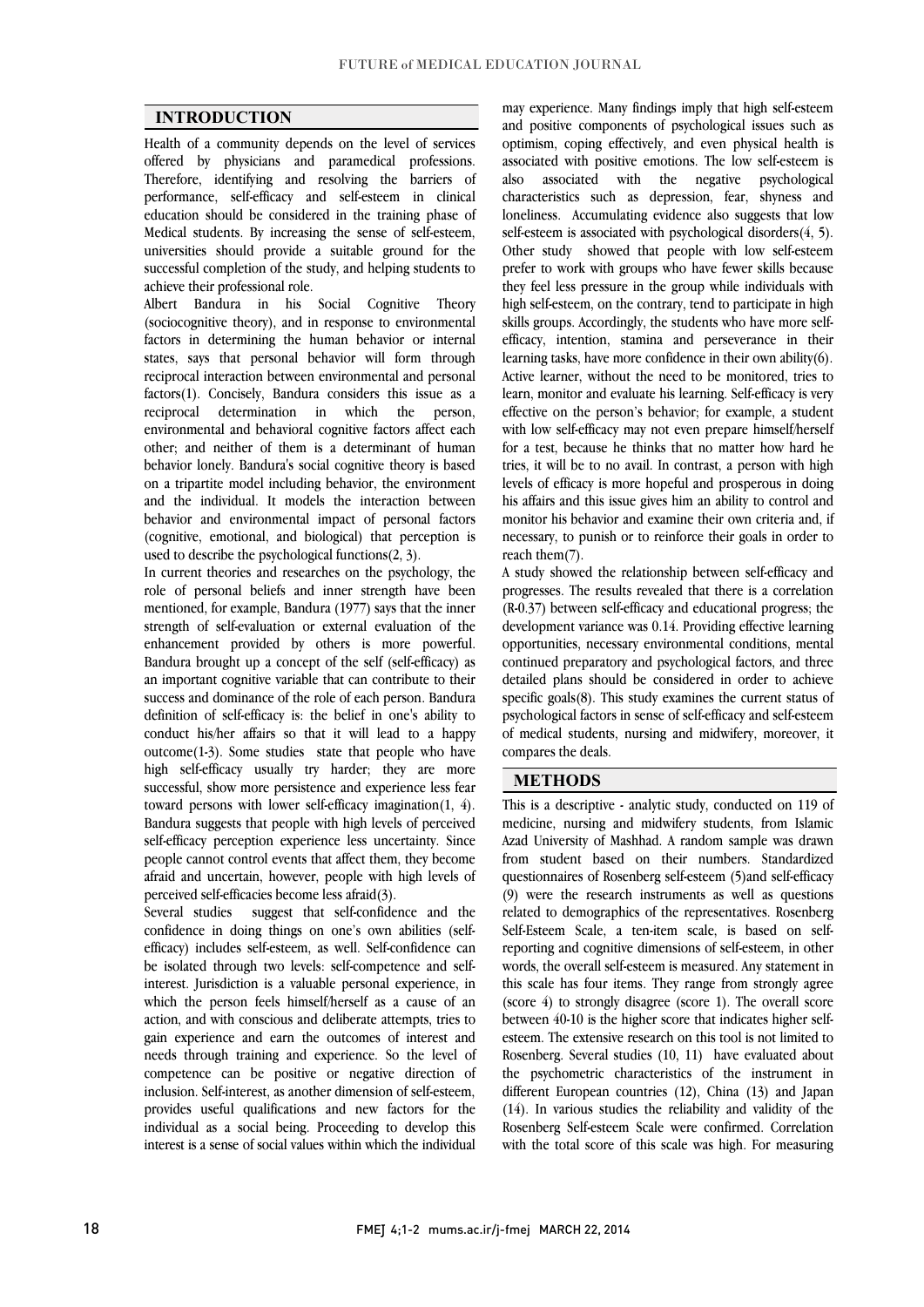$\overline{a}$  $\overline{a}$ 

## **INTRODUCTION**

 Health of a community depends on the level of services offered by physicians and paramedical professions. performance, self-efficacy and self-esteem in clinical education should be considered in the training phase of Medical students. By increasing the sense of self-esteem, universities should provide a suitable ground for the successful completion of the study, and helping students to<br>achieve their professional role Therefore, identifying and resolving the barriers of achieve their professional role.

 Albert Bandura in his Social Cognitive Theory (sociocognitive theory), and in response to environmental factors in determining the human behavior or internal reciprocal interaction between environmental and personal factors(1). Concisely, Bandura considers this issue as a person, environmental and behavioral cognitive factors affect each behavior lonely. Bandura's social cognitive theory is based on a tripartite model including behavior, the environment and the individual. It models the interaction between (cognitive, emotional, and biological) that perception is states, says that personal behavior will form through reciprocal determination in which the other; and neither of them is a determinant of human behavior and environmental impact of personal factors used to describe the psychological functions(2, 3).

 In current theories and researches on the psychology, the role of personal beliefs and inner strength have been strength of self-evaluation or external evaluation of the enhancement provided by others is more powerful. Bandura brought up a concept of the self (self-efficacy) as an important cognitive variable that can contribute to their definition of self-efficacy is: the belief in one's ability to conduct his/her affairs so that it will lead to a happy outcome(1-3). Some studies state that people who have high self-efficacy usually try harder; they are more toward persons with lower self-efficacy imagination(1, 4). Bandura suggests that people with high levels of perceived self-efficacy perception experience less uncertainty. Since people cannot control events that affect them, they become afraid and uncertain, however, people with high levels of nerceived self-efficacies become less afraid(3) mentioned, for example, Bandura (1977) says that the inner success and dominance of the role of each person. Bandura successful, show more persistence and experience less fear perceived self-efficacies become less afraid(3).<br>Several studies suggest that self-confide

 Several studies suggest that self-confidence and the confidence in doing things on one's own abilities (selfemeacy) includes sen-esteem, as went sen-connuence can<br>be isolated through two levels: self-competence and self- interest. Jurisdiction is a valuable personal experience, in which the person feels himself/herself as a cause of an action, and with conscious and deliberate attempts, tries to needs through training and experience. So the level of competence can be positive or negative direction of inclusion. Self-interest, as another dimension of self-esteem, provides useful qualifications and new factors for the interest is a sense of social values within which the individual efficacy) includes self-esteem, as well. Self-confidence can gain experience and earn the outcomes of interest and individual as a social being. Proceeding to develop this

 and positive components of psychological issues such as optimism, coping effectively, and even physical health is associated with positive emotions. The low self-esteem is characteristics such as depression, fear, shyness and loneliness. Accumulating evidence also suggests that low self-esteem is associated with psychological disorders(4, 5). Other study showed that people with low self-esteem they feel less pressure in the group while individuals with high self-esteem, on the contrary, tend to participate in high skills groups. Accordingly, the students who have more selfemeacy, miention, stamma and perseverance in their<br>learning tasks, have more confidence in their own ability(6). Active learner, without the need to be monitored, tries to learn, monitor and evaluate his learning. Self-efficacy is very effective on the person's behavior; for example, a student with low schemeatly may not even prepare infinstitutely<br>for a test, because he thinks that no matter how hard he tries, it will be to no avail. In contrast, a person with high levels of efficacy is more hopeful and prosperous in doing his affairs and this issue gives him an ability to control and momor ins behavior and examine their own enterta and, if necessary, to punish or to reinforce their goals in order to may experience. Many findings imply that high self-esteem also associated with the negative psychological prefer to work with groups who have fewer skills because efficacy, intention, stamina and perseverance in their with low self-efficacy may not even prepare himself/herself monitor his behavior and examine their own criteria and, if reach them(7).

 A study showed the relationship between self-efficacy and progresses. The results revealed that there is a correlation development variance was 0.14. Providing effective learning opportunities, necessary environmental conditions, mental continued preparatory and psychological factors, and three detailed plans should be considered in order to achieve psychological factors in sense of self-efficacy and self-esteem of medical students, nursing and midwifery, moreover, it (R-0.37) between self-efficacy and educational progress; the specific goals(8). This study examines the current status of compares the deals.

#### **METHODS**

 This is a descriptive - analytic study, conducted on 119 of medicine, nursing and midwifery students, from Islamic Azad University of Mashhad. A random sample was drawn questionnaires of Rosenberg self-esteem (5)and self-efficacy  $(9)$  were the research instruments as well as questions related to demographics of the representatives. Rosenberg Self-Esteem Scale, a ten-item scale, is based on self- words, the overall self-esteem is measured. Any statement in this scale has four items. They range from strongly agree (score 4) to strongly disagree (score 1). The overall score between 40-10 is the higher score that indicates higher self-Rosenberg. Several studies (10, 11) have evaluated about the psychometric characteristics of the instrument in different European countries (12), China (13) and Japan  $(14)$ . In various studies the reliability and validity of the with the total score of this scale was high. For measuring from student based on their numbers. Standardized reporting and cognitive dimensions of self-esteem, in other esteem. The extensive research on this tool is not limited to Rosenberg Self-esteem Scale were confirmed. Correlation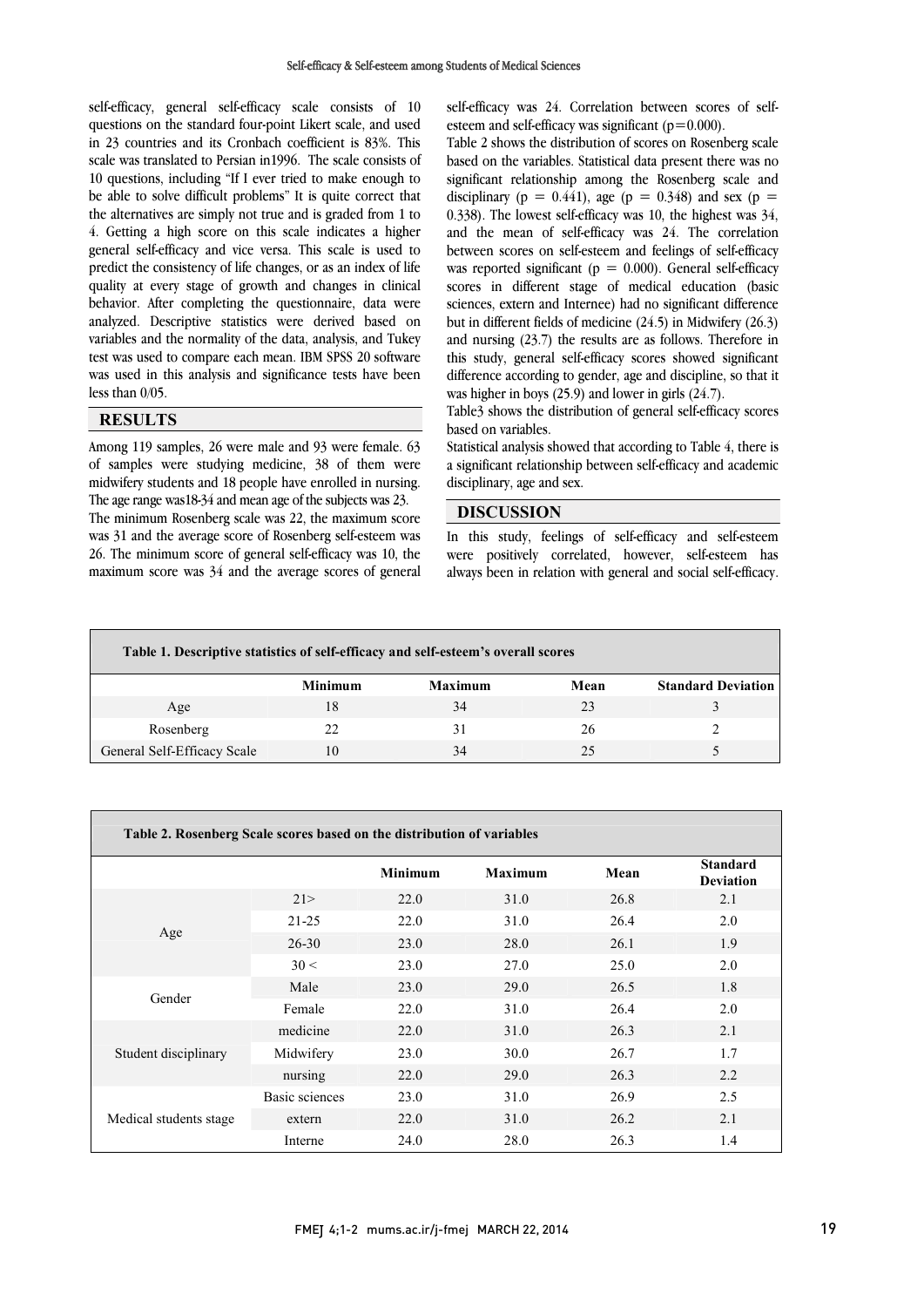self-efficacy, general self-efficacy scale consists of 10 questions on the standard four-point Likert scale, and used in 23 countries and its Cronbach coefficient is 83%. This scale was translated to Persian in1996. The scale consists of be able to solve difficult problems" It is quite correct that the alternatives are simply not true and is graded from 1 to 4. Getting a high score on this scale indicates a higher general self-efficacy and vice versa. This scale is used to quality at every stage of growth and changes in clinical behavior. After completing the questionnaire, data were analyzed. Descriptive statistics were derived based on variables and the normality of the data, analysis, and Tukey<br>test was used to compare each mean. IBM SPSS 20 software was used in this analysis and significance tests have been 10 questions, including "If I ever tried to make enough to predict the consistency of life changes, or as an index of life variables and the normality of the data, analysis, and Tukey less than 0/05.

## **RESULTS**

 Among 119 samples, 26 were male and 93 were female. 63 of samples were studying medicine, 38 of them were midwifery students and 18 people have enrolled in nursing. The age range was18-34 and mean age of the subjects was 23.

was 31 and the average score of Rosenberg self-esteem was 26. The minimum score of general self-efficacy was 10, the maximum score was 34 and the average scores of general The minimum Rosenberg scale was 22, the maximum score

i. self-efficacy was 24. Correlation between scores of selfesteem and self-efficacy was significant ( $p=0.000$ ).

 Table 2 shows the distribution of scores on Rosenberg scale based on the variables. Statistical data present there was no disciplinary  $(p = 0.441)$ , age  $(p = 0.348)$  and sex  $(p = 0.441)$ . and the mean of self-efficacy was 24. The correlation between scores on self-esteem and feelings of self-efficacy scores in different stage of medical education (basic sciences, extern and Internee) had no significant difference but in different fields of medicine (24.5) in Midwifery (26.3) and nursing (23.7) the results are as follows. Therefore in<br>this study, concrel self efficesy sectors showed similizent difference according to gender, age and discipline, so that it significant relationship among the Rosenberg scale and 0.338). The lowest self-efficacy was 10, the highest was 34, was reported significant ( $p = 0.000$ ). General self-efficacy this study, general self-efficacy scores showed significant was higher in boys (25.9) and lower in girls (24.7).

 Table3 shows the distribution of general self-efficacy scores based on variables.

 Statistical analysis showed that according to Table 4, there is a significant relationship between self-efficacy and academic disciplinary, age and sex.

٦

## **DISCUSSION**

 In this study, feelings of self-efficacy and self-esteem were positively correlated, however, self-esteem has always been in relation with general and social self-efficacy.

| Table 1. Descriptive statistics of self-efficacy and self-esteem's overall scores |                |         |      |                           |  |
|-----------------------------------------------------------------------------------|----------------|---------|------|---------------------------|--|
|                                                                                   | <b>Minimum</b> | Maximum | Mean | <b>Standard Deviation</b> |  |
| Age                                                                               | 18             | 34      | 23   |                           |  |
| Rosenberg                                                                         | 22             | 31      | 26   |                           |  |
| General Self-Efficacy Scale                                                       | 10             | 34      | 25   |                           |  |

٦

|                        |                | <b>Minimum</b> | <b>Maximum</b> | Mean | <b>Standard</b><br><b>Deviation</b> |
|------------------------|----------------|----------------|----------------|------|-------------------------------------|
| Age                    | 21             | 22.0           | 31.0           | 26.8 | 2.1                                 |
|                        | $21 - 25$      | 22.0           | 31.0           | 26.4 | 2.0                                 |
|                        | $26 - 30$      | 23.0           | 28.0           | 26.1 | 1.9                                 |
|                        | 30 <           | 23.0           | 27.0           | 25.0 | 2.0                                 |
| Gender                 | Male           | 23.0           | 29.0           | 26.5 | 1.8                                 |
|                        | Female         | 22.0           | 31.0           | 26.4 | 2.0                                 |
| Student disciplinary   | medicine       | 22.0           | 31.0           | 26.3 | 2.1                                 |
|                        | Midwifery      | 23.0           | 30.0           | 26.7 | 1.7                                 |
|                        | nursing        | 22.0           | 29.0           | 26.3 | 2.2                                 |
| Medical students stage | Basic sciences | 23.0           | 31.0           | 26.9 | 2.5                                 |
|                        | extern         | 22.0           | 31.0           | 26.2 | 2.1                                 |
|                        | Interne        | 24.0           | 28.0           | 26.3 | 1.4                                 |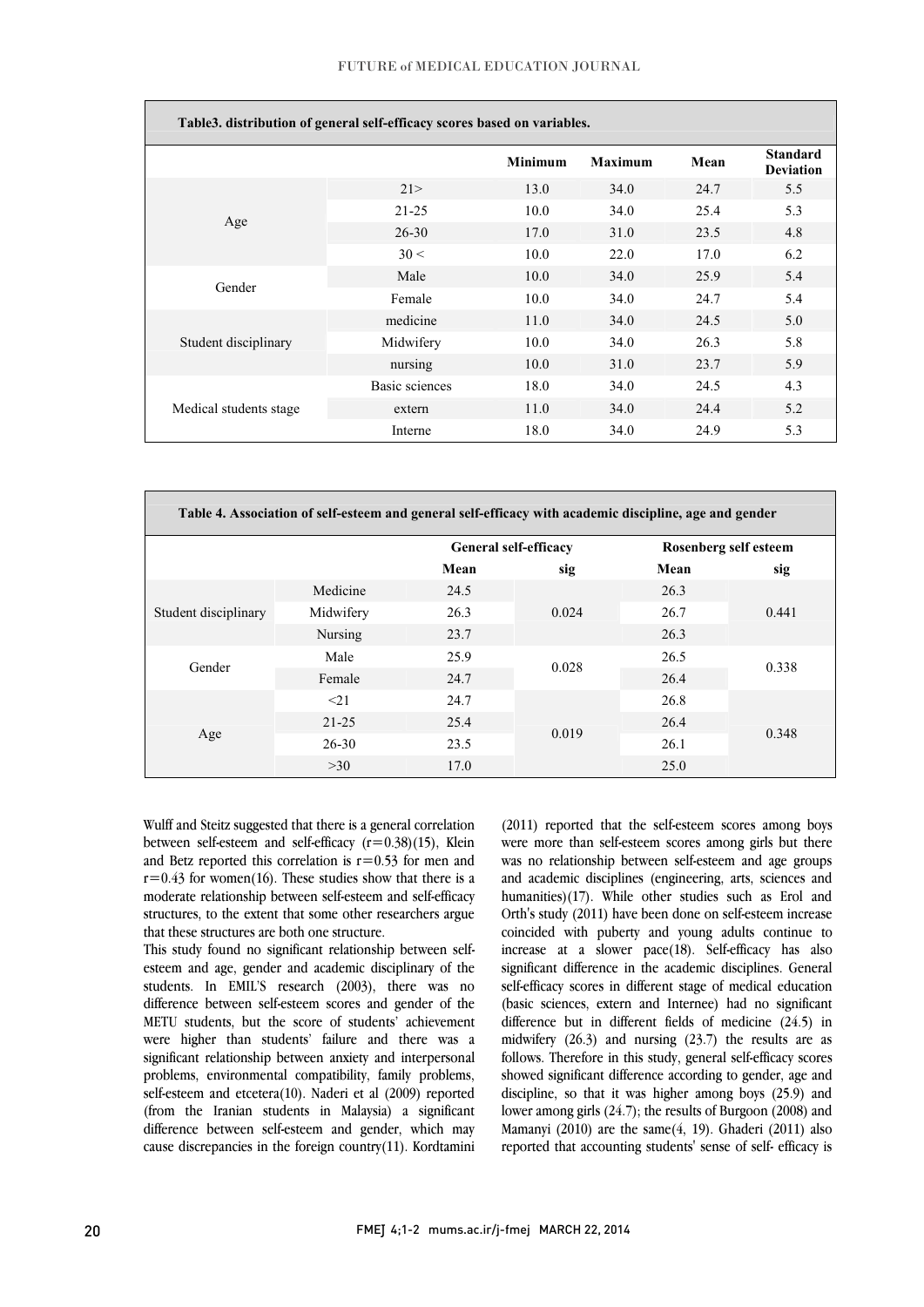#### FUTURE of MEDICAL EDUCATION JOURNAL

| Table3. distribution of general self-efficacy scores based on variables. |                |                |                |      |                                     |
|--------------------------------------------------------------------------|----------------|----------------|----------------|------|-------------------------------------|
|                                                                          |                | <b>Minimum</b> | <b>Maximum</b> | Mean | <b>Standard</b><br><b>Deviation</b> |
| Age                                                                      | 21>            | 13.0           | 34.0           | 24.7 | 5.5                                 |
|                                                                          | $21 - 25$      | 10.0           | 34.0           | 25.4 | 5.3                                 |
|                                                                          | $26 - 30$      | 17.0           | 31.0           | 23.5 | 4.8                                 |
|                                                                          | 30 <           | 10.0           | 22.0           | 17.0 | 6.2                                 |
| Gender                                                                   | Male           | 10.0           | 34.0           | 25.9 | 5.4                                 |
|                                                                          | Female         | 10.0           | 34.0           | 24.7 | 5.4                                 |
| Student disciplinary                                                     | medicine       | 11.0           | 34.0           | 24.5 | 5.0                                 |
|                                                                          | Midwifery      | 10.0           | 34.0           | 26.3 | 5.8                                 |
|                                                                          | nursing        | 10.0           | 31.0           | 23.7 | 5.9                                 |
|                                                                          | Basic sciences | 18.0           | 34.0           | 24.5 | 4.3                                 |
| Medical students stage                                                   | extern         | 11.0           | 34.0           | 24.4 | 5.2                                 |
|                                                                          | Interne        | 18.0           | 34.0           | 24.9 | 5.3                                 |

| Table 4. Association of self-esteem and general self-efficacy with academic discipline, age and gender |           |                              |       |                       |       |
|--------------------------------------------------------------------------------------------------------|-----------|------------------------------|-------|-----------------------|-------|
|                                                                                                        |           | <b>General self-efficacy</b> |       | Rosenberg self esteem |       |
|                                                                                                        |           | Mean                         | sig   | Mean                  | sig   |
| Student disciplinary                                                                                   | Medicine  | 24.5                         | 0.024 | 26.3                  | 0.441 |
|                                                                                                        | Midwifery | 26.3                         |       | 26.7                  |       |
|                                                                                                        | Nursing   | 23.7                         |       | 26.3                  |       |
| Gender                                                                                                 | Male      | 25.9                         | 0.028 | 26.5                  | 0.338 |
|                                                                                                        | Female    | 24.7                         |       | 26.4                  |       |
| Age                                                                                                    | <21       | 24.7                         | 0.019 | 26.8                  | 0.348 |
|                                                                                                        | $21 - 25$ | 25.4                         |       | 26.4                  |       |
|                                                                                                        | $26 - 30$ | 23.5                         |       | 26.1                  |       |
|                                                                                                        | >30       | 17.0                         |       | 25.0                  |       |

 $\overline{a}$ 

 Wulff and Steitz suggested that there is a general correlation between self-esteem and self-efficacy (r=0.38)(15), Klein and Betz reported this correlation is  $r=0.53$  for men and moderate relationship between self-esteem and self-efficacy structures, to the extent that some other researchers argue  $r=0.43$  for women(16). These studies show that there is a that these structures are both one structure.

 esteem and age, gender and academic disciplinary of the students. In EMIL'S research (2003), there was no difference between self-esteem scores and gender of the METU students, but the score of students' achievement were higher than students' failure and there was a problems, environmental compatibility, family problems, self-esteem and etcetera(10). Naderi et al (2009) reported (from the Iranian students in Malaysia) a significant cause discrepancies in the foreign country(11). Kordtamini This study found no significant relationship between selfsignificant relationship between anxiety and interpersonal difference between self-esteem and gender, which may

 (2011) reported that the self-esteem scores among boys were more than self-esteem scores among girls but there was no relationship between self-esteem and age groups humanities)(17). While other studies such as Erol and Orth's study (2011) have been done on self-esteem increase coincided with puberty and young adults continue to increase at a slower pace(18). Self-efficacy has also self-efficacy scores in different stage of medical education (basic sciences, extern and Internee) had no significant difference but in different fields of medicine (24.5) in midwitery  $(20.5)$  and nursing  $(25.7)$  the results are as<br>follows. Therefore in this study, general self-efficacy scores showed significant difference according to gender, age and discipline, so that it was higher among boys (25.9) and lower among girls (24.7); the results of Burgoon (2008) and  $m$ anianyi (2010) are the same  $(4, 12)$ . Ghaden (2011) also<br>reported that accounting students' sense of self- efficacy is and academic disciplines (engineering, arts, sciences and significant difference in the academic disciplines. General midwifery (26.3) and nursing (23.7) the results are as Mamanyi (2010) are the same(4, 19). Ghaderi (2011) also

 $\overline{a}$